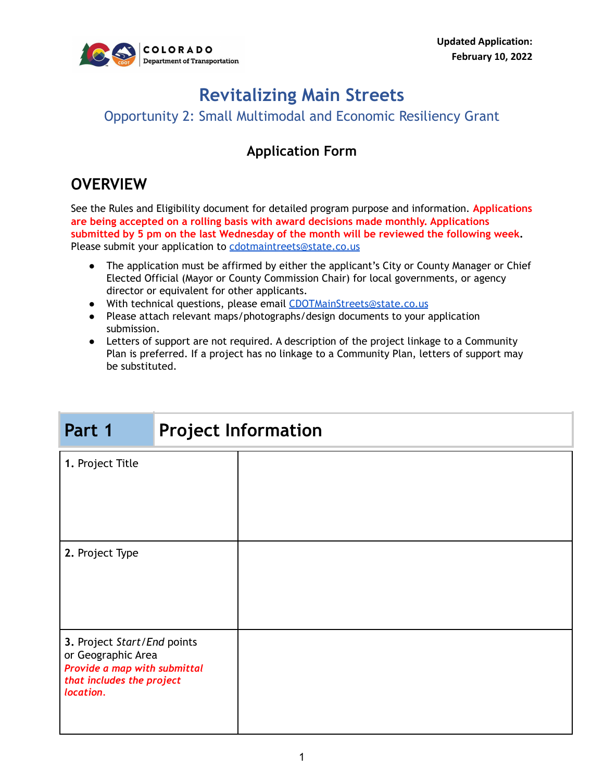

# **Revitalizing Main Streets**

Opportunity 2: Small Multimodal and Economic Resiliency Grant

### **Application Form**

## **OVERVIEW**

See the Rules and Eligibility document for detailed program purpose and information. **Applications are being accepted on a rolling basis with award decisions made monthly. Applications submitted by 5 pm on the last Wednesday of the month will be reviewed the following week.** Please submit your application to [cdotmaintreets@state.co.us](mailto:cdotmaintreets@state.co.us)

- The application must be affirmed by either the applicant's City or County Manager or Chief Elected Official (Mayor or County Commission Chair) for local governments, or agency director or equivalent for other applicants.
- With technical questions, please email [CDOTMainStreets@state.co.us](mailto:CDOTMainStreets@state.co.us)
- Please attach relevant maps/photographs/design documents to your application submission.
- Letters of support are not required. A description of the project linkage to a Community Plan is preferred. If a project has no linkage to a Community Plan, letters of support may be substituted.

| Part 1                                                                                                                      | <b>Project Information</b> |  |  |
|-----------------------------------------------------------------------------------------------------------------------------|----------------------------|--|--|
| 1. Project Title                                                                                                            |                            |  |  |
| 2. Project Type                                                                                                             |                            |  |  |
| 3. Project Start/End points<br>or Geographic Area<br>Provide a map with submittal<br>that includes the project<br>location. |                            |  |  |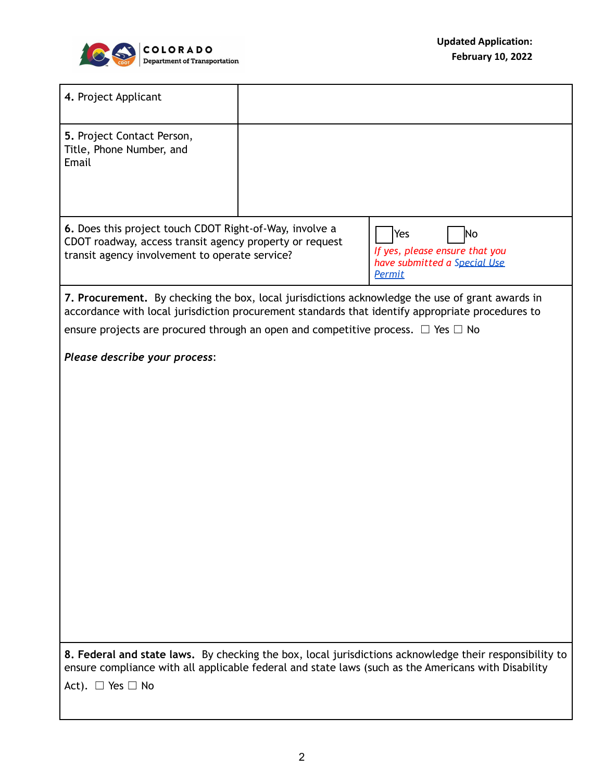

| 4. Project Applicant                                                                                                                                                                                                                         |                                                                                       |  |  |  |  |
|----------------------------------------------------------------------------------------------------------------------------------------------------------------------------------------------------------------------------------------------|---------------------------------------------------------------------------------------|--|--|--|--|
| 5. Project Contact Person,<br>Title, Phone Number, and<br>Email                                                                                                                                                                              |                                                                                       |  |  |  |  |
| 6. Does this project touch CDOT Right-of-Way, involve a<br>CDOT roadway, access transit agency property or request<br>transit agency involvement to operate service?                                                                         | Yes<br>No<br>If yes, please ensure that you<br>have submitted a Special Use<br>Permit |  |  |  |  |
| 7. Procurement. By checking the box, local jurisdictions acknowledge the use of grant awards in<br>accordance with local jurisdiction procurement standards that identify appropriate procedures to                                          |                                                                                       |  |  |  |  |
| ensure projects are procured through an open and competitive process. $\Box$ Yes $\Box$ No                                                                                                                                                   |                                                                                       |  |  |  |  |
| Please describe your process:                                                                                                                                                                                                                |                                                                                       |  |  |  |  |
|                                                                                                                                                                                                                                              |                                                                                       |  |  |  |  |
| 8. Federal and state laws. By checking the box, local jurisdictions acknowledge their responsibility to<br>ensure compliance with all applicable federal and state laws (such as the Americans with Disability<br>Act). $\Box$ Yes $\Box$ No |                                                                                       |  |  |  |  |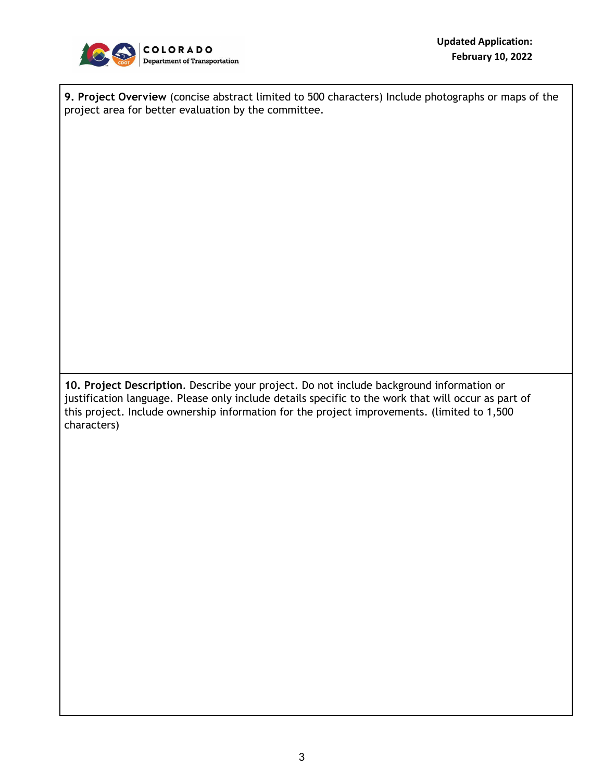

**9. Project Overview** (concise abstract limited to 500 characters) Include photographs or maps of the project area for better evaluation by the committee.

**10. Project Description**. Describe your project. Do not include background information or justification language. Please only include details specific to the work that will occur as part of this project. Include ownership information for the project improvements. (limited to 1,500 characters)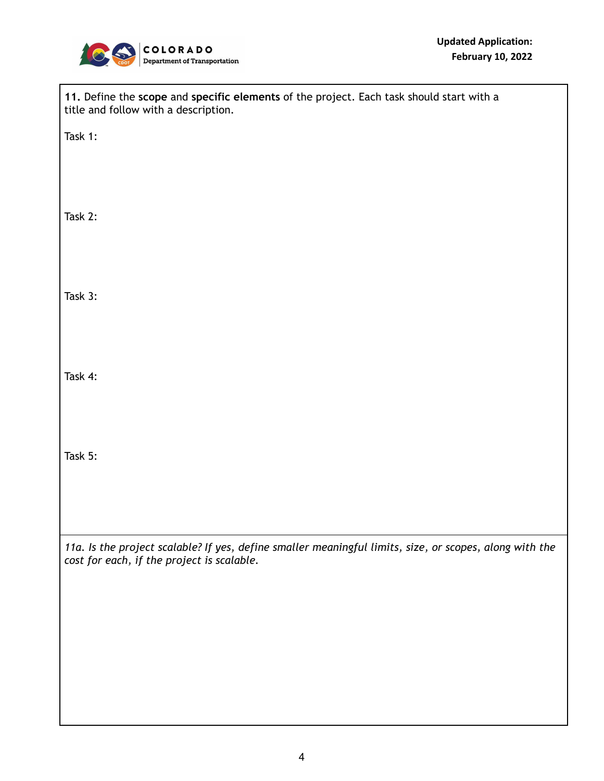

| 11. Define the scope and specific elements of the project. Each task should start with a<br>title and follow with a description.                      |  |  |  |  |
|-------------------------------------------------------------------------------------------------------------------------------------------------------|--|--|--|--|
| Task 1:                                                                                                                                               |  |  |  |  |
|                                                                                                                                                       |  |  |  |  |
| Task 2:                                                                                                                                               |  |  |  |  |
|                                                                                                                                                       |  |  |  |  |
| Task 3:                                                                                                                                               |  |  |  |  |
|                                                                                                                                                       |  |  |  |  |
| Task 4:                                                                                                                                               |  |  |  |  |
|                                                                                                                                                       |  |  |  |  |
| Task 5:                                                                                                                                               |  |  |  |  |
|                                                                                                                                                       |  |  |  |  |
|                                                                                                                                                       |  |  |  |  |
| 11a. Is the project scalable? If yes, define smaller meaningful limits, size, or scopes, along with the<br>cost for each, if the project is scalable. |  |  |  |  |
|                                                                                                                                                       |  |  |  |  |
|                                                                                                                                                       |  |  |  |  |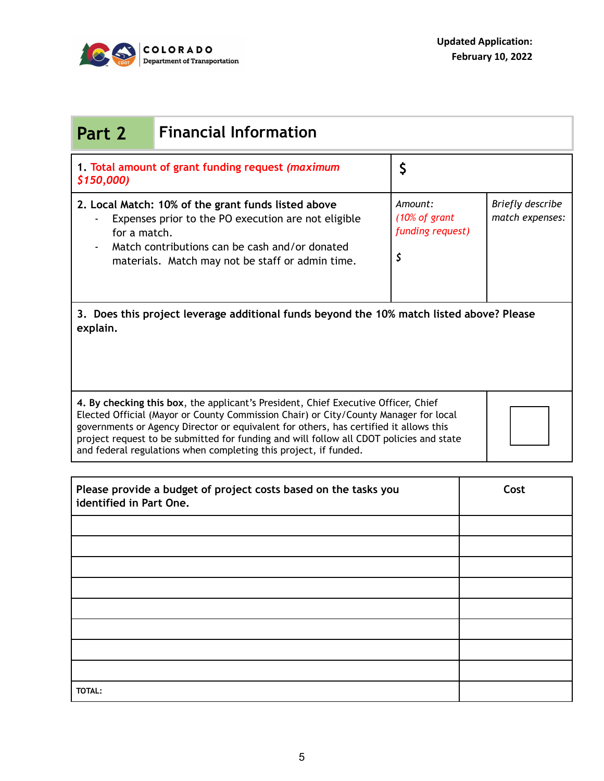

| <b>Financial Information</b><br>Part 2                                                                                                                                                                                                                                                                                                                                                                                             |  |                                                    |                                     |  |  |  |
|------------------------------------------------------------------------------------------------------------------------------------------------------------------------------------------------------------------------------------------------------------------------------------------------------------------------------------------------------------------------------------------------------------------------------------|--|----------------------------------------------------|-------------------------------------|--|--|--|
| 1. Total amount of grant funding request (maximum<br>\$150,000)                                                                                                                                                                                                                                                                                                                                                                    |  | \$                                                 |                                     |  |  |  |
| 2. Local Match: 10% of the grant funds listed above<br>Expenses prior to the PO execution are not eligible<br>for a match.<br>Match contributions can be cash and/or donated<br>materials. Match may not be staff or admin time.                                                                                                                                                                                                   |  | Amount:<br>(10% of grant<br>funding request)<br>\$ | Briefly describe<br>match expenses: |  |  |  |
| 3. Does this project leverage additional funds beyond the 10% match listed above? Please<br>explain.                                                                                                                                                                                                                                                                                                                               |  |                                                    |                                     |  |  |  |
| 4. By checking this box, the applicant's President, Chief Executive Officer, Chief<br>Elected Official (Mayor or County Commission Chair) or City/County Manager for local<br>governments or Agency Director or equivalent for others, has certified it allows this<br>project request to be submitted for funding and will follow all CDOT policies and state<br>and federal regulations when completing this project, if funded. |  |                                                    |                                     |  |  |  |
| Please provide a budget of project costs based on the tasks you<br>identified in Part One.                                                                                                                                                                                                                                                                                                                                         |  |                                                    | Cost                                |  |  |  |
|                                                                                                                                                                                                                                                                                                                                                                                                                                    |  |                                                    |                                     |  |  |  |
|                                                                                                                                                                                                                                                                                                                                                                                                                                    |  |                                                    |                                     |  |  |  |
|                                                                                                                                                                                                                                                                                                                                                                                                                                    |  |                                                    |                                     |  |  |  |
|                                                                                                                                                                                                                                                                                                                                                                                                                                    |  |                                                    |                                     |  |  |  |
|                                                                                                                                                                                                                                                                                                                                                                                                                                    |  |                                                    |                                     |  |  |  |
|                                                                                                                                                                                                                                                                                                                                                                                                                                    |  |                                                    |                                     |  |  |  |
| TOTAL:                                                                                                                                                                                                                                                                                                                                                                                                                             |  |                                                    |                                     |  |  |  |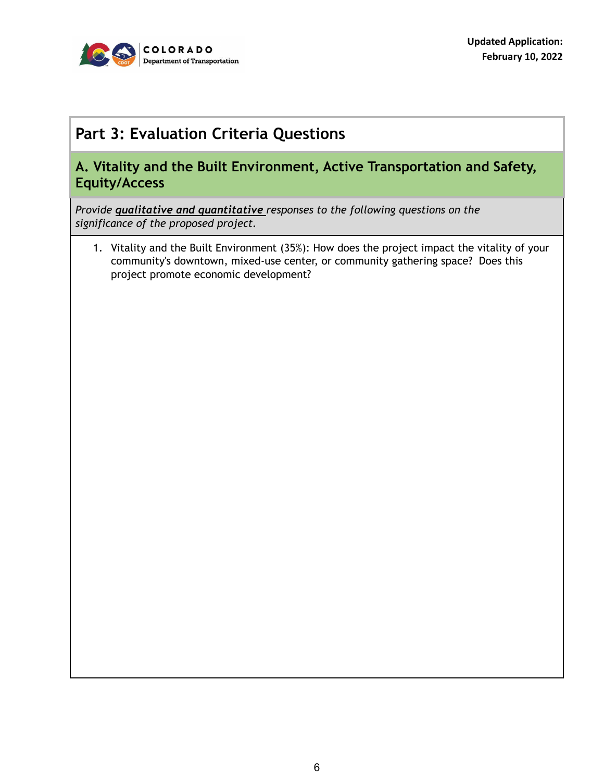

## **Part 3: Evaluation Criteria Questions**

#### **A. Vitality and the Built Environment, Active Transportation and Safety, Equity/Access**

*Provide qualitative and quantitative responses to the following questions on the significance of the proposed project.*

1. Vitality and the Built Environment (35%): How does the project impact the vitality of your community's downtown, mixed-use center, or community gathering space? Does this project promote economic development?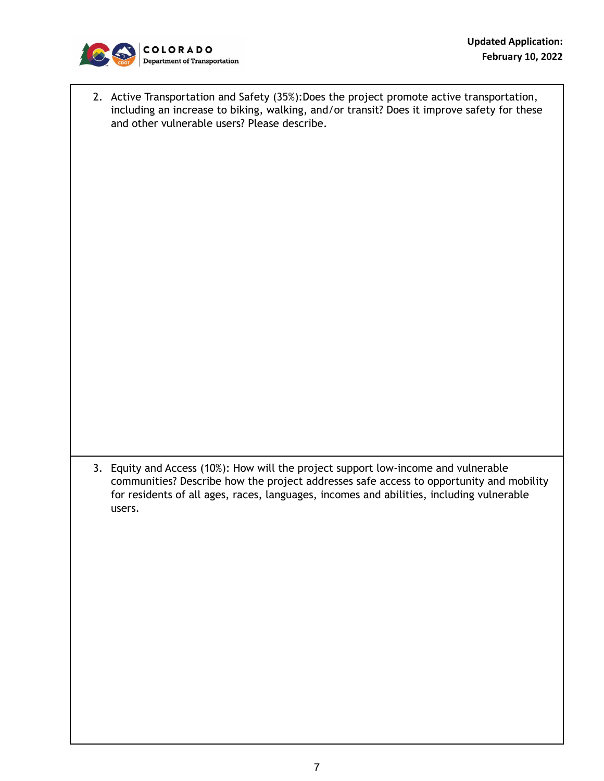

2. Active Transportation and Safety (35%):Does the project promote active transportation, including an increase to biking, walking, and/or transit? Does it improve safety for these and other vulnerable users? Please describe.

3. Equity and Access (10%): How will the project support low-income and vulnerable communities? Describe how the project addresses safe access to opportunity and mobility for residents of all ages, races, languages, incomes and abilities, including vulnerable users.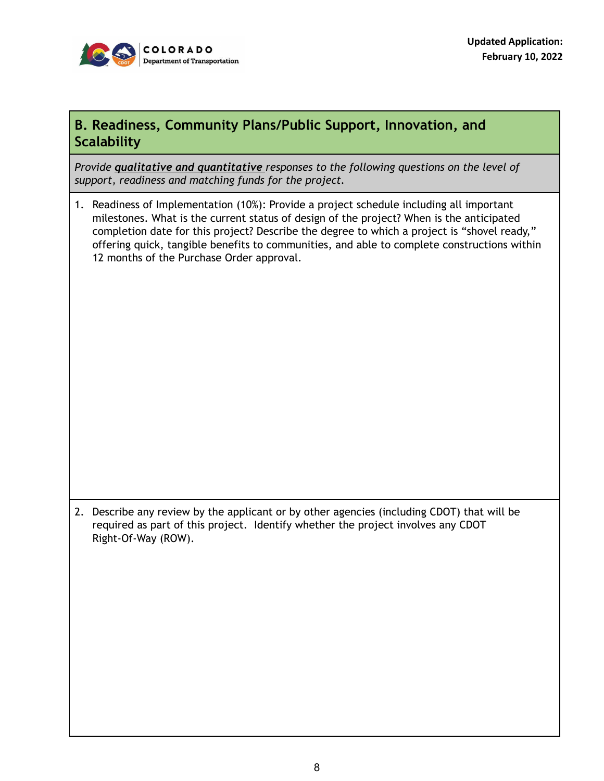

#### **B. Readiness, Community Plans/Public Support, Innovation, and Scalability**

*Provide qualitative and quantitative responses to the following questions on the level of support, readiness and matching funds for the project.*

1. Readiness of Implementation (10%): Provide a project schedule including all important milestones. What is the current status of design of the project? When is the anticipated completion date for this project? Describe the degree to which a project is "shovel ready," offering quick, tangible benefits to communities, and able to complete constructions within 12 months of the Purchase Order approval.

2. Describe any review by the applicant or by other agencies (including CDOT) that will be required as part of this project. Identify whether the project involves any CDOT Right-Of-Way (ROW).